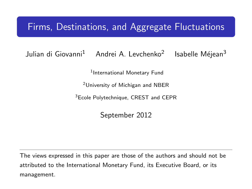## Firms, Destinations, and Aggregate Fluctuations

Julian di Giovanni<sup>1</sup> Andrei A. Levchenko<sup>2</sup> Isabelle Méjean<sup>3</sup>

1 International Monetary Fund

<sup>2</sup>University of Michigan and NBER

<sup>3</sup>Ecole Polytechnique, CREST and CEPR

September 2012

<span id="page-0-0"></span>The views expressed in this paper are those of the authors and should not be attributed to the International Monetary Fund, its Executive Board, or its management.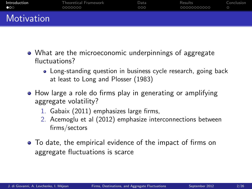| Introduction          | <b>Theoretical Framework</b> | Data | Results     | Conclusion |
|-----------------------|------------------------------|------|-------------|------------|
| $\bullet \circ \circ$ | 0000000                      | 000  | 00000000000 |            |
| Motivation            |                              |      |             |            |

- What are the microeconomic underpinnings of aggregate fluctuations?
	- Long-standing question in business cycle research, going back at least to Long and Plosser (1983)
- How large a role do firms play in generating or amplifying aggregate volatility?
	- 1. Gabaix (2011) emphasizes large firms,
	- 2. Acemoglu et al (2012) emphasize interconnections between firms/sectors
- <span id="page-1-0"></span>To date, the empirical evidence of the impact of firms on aggregate fluctuations is scarce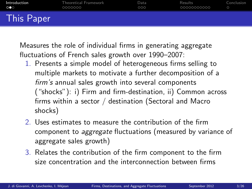| Introduction          | <b>Theoretical Framework</b> | Data | Results      | Conclusion |
|-----------------------|------------------------------|------|--------------|------------|
| $\circ \bullet \circ$ | 0000000                      | 000  | _00000000000 | $\circ$    |
| <b>This Paper</b>     |                              |      |              |            |

Measures the role of individual firms in generating aggregate fluctuations of French sales growth over 1990–2007:

- 1. Presents a simple model of heterogeneous firms selling to multiple markets to motivate a further decomposition of a firm's annual sales growth into several components ("shocks"): i) Firm and firm-destination, ii) Common across firms within a sector / destination (Sectoral and Macro shocks)
- 2. Uses estimates to measure the contribution of the firm component to aggregate fluctuations (measured by variance of aggregate sales growth)
- 3. Relates the contribution of the firm component to the firm size concentration and the interconnection between firms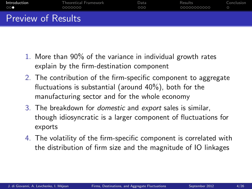| Introduction              | <b>Theoretical Framework</b> | Data | Results     | Conclusion |
|---------------------------|------------------------------|------|-------------|------------|
| 000                       | 0000000                      | 000  | 00000000000 | $\circ$    |
| <b>Preview of Results</b> |                              |      |             |            |

- 1. More than 90% of the variance in individual growth rates explain by the firm-destination component
- 2. The contribution of the firm-specific component to aggregate fluctuations is substantial (around 40%), both for the manufacturing sector and for the whole economy
- 3. The breakdown for domestic and export sales is similar, though idiosyncratic is a larger component of fluctuations for exports
- 4. The volatility of the firm-specific component is correlated with the distribution of firm size and the magnitude of IO linkages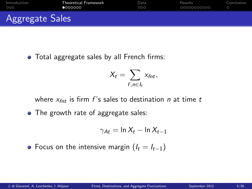| Introduction    | <b>Theoretical Framework</b> | Data | Results     | Conclusion |
|-----------------|------------------------------|------|-------------|------------|
| 000             | 0000000                      | 000  | 00000000000 |            |
| Aggregate Sales |                              |      |             |            |

• Total aggregate sales by all French firms:

$$
X_t = \sum_{f,n \in I_t} x_{fnt},
$$

where  $x_{fnt}$  is firm f's sales to destination n at time t

• The growth rate of aggregate sales:

<span id="page-4-0"></span>
$$
\gamma_{At} = \ln X_t - \ln X_{t-1}
$$

• Focus on the intensive margin  $(I_t = I_{t-1})$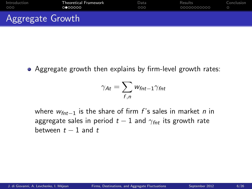| Introduction            | <b>Theoretical Framework</b> | Data | Results     | Conclusion |
|-------------------------|------------------------------|------|-------------|------------|
| 000                     | 0 000000                     | 000  | 00000000000 |            |
| <b>Aggregate Growth</b> |                              |      |             |            |

Aggregate growth then explains by firm-level growth rates:

$$
\gamma_{At} = \sum_{f,n} w_{fnt-1} \gamma_{fnt}
$$

where  $w_{fnt-1}$  is the share of firm f's sales in market n in aggregate sales in period  $t - 1$  and  $\gamma_{\text{fnt}}$  its growth rate between  $t-1$  and  $t$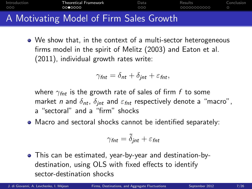| Introduction | <b>Theoretical Framework</b>            | Data | Results      | Conclusion |
|--------------|-----------------------------------------|------|--------------|------------|
| 000          | 0000000                                 | 000  | _00000000000 |            |
|              | A Motivating Model of Firm Sales Growth |      |              |            |

We show that, in the context of a multi-sector heterogeneous firms model in the spirit of Melitz (2003) and Eaton et al. (2011), individual growth rates write:

$$
\gamma_{\text{fnt}} = \delta_{\text{nt}} + \delta_{\text{jnt}} + \varepsilon_{\text{fnt}},
$$

where  $\gamma_{\text{fnt}}$  is the growth rate of sales of firm f to some market n and  $\delta_{nt}$ ,  $\delta_{int}$  and  $\varepsilon_{fnt}$  respectively denote a "macro", a "sectoral" and a "firm" shocks

Macro and sectoral shocks cannot be identified separately:

$$
\gamma_{\text{fnt}} = \tilde{\delta}_{\text{jnt}} + \varepsilon_{\text{fnt}}
$$

This can be estimated, year-by-year and destination-bydestination, using OLS with fixed effects to identify sector-destination shocks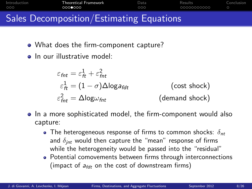| Introduction<br>000                      | Theoretical Framework<br>0000000 | Data<br>000 | Results<br>00000000000 | Conclusion |
|------------------------------------------|----------------------------------|-------------|------------------------|------------|
| Sales Decomposition/Estimating Equations |                                  |             |                        |            |

- - What does the firm-component capture?
	- In our illustrative model:

$$
\varepsilon_{\text{fnt}} = \varepsilon_{\text{ft}}^1 + \varepsilon_{\text{fnt}}^2
$$
\n
$$
\varepsilon_{\text{ft}}^1 = (1 - \sigma) \Delta \log a_{\text{fdt}} \qquad \qquad \text{(cost shock)}
$$
\n
$$
\varepsilon_{\text{fnt}}^2 = \Delta \log \omega_{\text{fnt}} \qquad \qquad \text{(demand shock)}
$$

- In a more sophisticated model, the firm-component would also capture:
	- The heterogeneous response of firms to common shocks:  $\delta_{nt}$ and  $\delta_{int}$  would then capture the "mean" response of firms while the heterogeneity would be passed into the "residual"
	- Potential comovements between firms through interconnections (impact of  $a_{fdt}$  on the cost of downstream firms)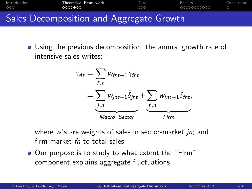

Using the previous decomposition, the annual growth rate of intensive sales writes:

$$
\gamma_{At} = \sum_{f,n} w_{fnt-1} \gamma_{fnt}
$$
  
= 
$$
\sum_{j,n} w_{jnt-1} \tilde{\delta}_{jnt} + \sum_{f,n} w_{fnt-1} \delta_{fnt},
$$
  
Macco, Sector  
Fire

where  $w$ 's are weights of sales in sector-market *in*; and firm-market fn to total sales

• Our purpose is to study to what extent the "Firm" component explains aggregate fluctuations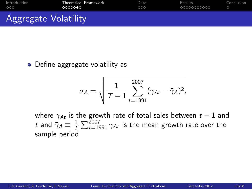| Introduction                | <b>Theoretical Framework</b> | Data | Results     | Conclusion |
|-----------------------------|------------------------------|------|-------------|------------|
| 000                         | 0000000                      | 000  | 00000000000 |            |
| <b>Aggregate Volatility</b> |                              |      |             |            |

## • Define aggregate volatility as

$$
\sigma_{\mathcal{A}} = \sqrt{\frac{1}{\mathcal{T}-1}\sum_{t=1991}^{2007}(\gamma_{\mathcal{A}t}-\bar{\gamma}_{\mathcal{A}})^2},
$$

where  $\gamma_{\mathcal{A}t}$  is the growth rate of total sales between  $t-1$  and t and  $\bar{\gamma}_A \equiv \frac{1}{7}$  $\frac{1}{\mathcal{T}} \sum_{t=1991}^{2007} \gamma_{At}$  is the mean growth rate over the sample period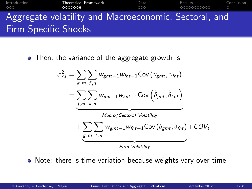## [Introduction](#page-1-0) [Theoretical Framework](#page-4-0) [Data](#page-11-0) [Results](#page-14-0) [Conclusion](#page-25-0) 00000000000  $\circ$ Aggregate volatility and Macroeconomic, Sectoral, and Firm-Specific Shocks

• Then, the variance of the aggregate growth is

$$
\sigma_{At}^{2} = \sum_{g,m} \sum_{f,n} w_{gmt-1} w_{fnt-1} \text{Cov}(\gamma_{gmt}, \gamma_{fnt})
$$
\n
$$
= \sum_{j,m} \sum_{k,n} w_{jmt-1} w_{knt-1} \text{Cov}(\tilde{\delta}_{jmt}, \tilde{\delta}_{knt})
$$
\n
$$
+ \sum_{g,m} \sum_{f,n} w_{gmt-1} w_{fnt-1} \text{Cov}(\delta_{gmt}, \delta_{fnt}) + \text{COV}_{t}
$$
\n
$$
F_{irm} \text{Volatility}
$$

• Note: there is time variation because weights vary over time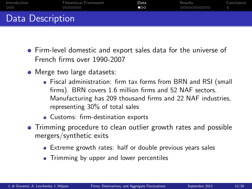| Introduction     | <b>Theoretical Framework</b> | Data      | Results     | Conclusion |
|------------------|------------------------------|-----------|-------------|------------|
| 000              | 0000000                      | $\bullet$ | 00000000000 |            |
| Data Description |                              |           |             |            |

- Firm-level domestic and export sales data for the universe of French firms over 1990-2007
- Merge two large datasets:
	- Fiscal administration: firm tax forms from BRN and RSI (small firms). BRN covers 1.6 million firms and 52 NAF sectors. Manufacturing has 209 thousand firms and 22 NAF industries, representing 30% of total sales
	- Customs: firm-destination exports
- <span id="page-11-0"></span>• Trimming procedure to clean outlier growth rates and possible mergers/synthetic exits
	- Extreme growth rates: half or double previous years sales
	- Trimming by upper and lower percentiles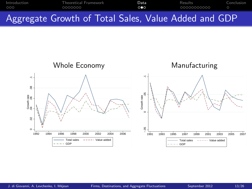

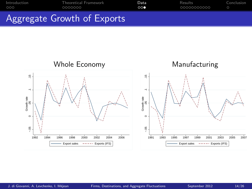

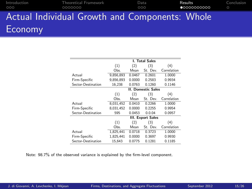| Introduction<br>000 | <b>Theoretical Framework</b><br>0000000        | Data<br>000 | Results<br>$\bullet$ 0000000000 | Conclusion<br>$\circ$ |
|---------------------|------------------------------------------------|-------------|---------------------------------|-----------------------|
|                     | Actual Individual Growth and Components: Whole |             |                                 |                       |
| Economy             |                                                |             |                                 |                       |

<span id="page-14-0"></span>

|                    | <b>I. Total Sales</b> |        |                           |             |  |  |
|--------------------|-----------------------|--------|---------------------------|-------------|--|--|
|                    | (1)<br>(4)<br>(3)     |        |                           |             |  |  |
|                    |                       | (2)    |                           |             |  |  |
|                    | Obs.                  | Mean   | St. Dev.                  | Correlation |  |  |
| Actual             | 9.856.893             | 0.0467 | 0.2601                    | 1.0000      |  |  |
| Firm-Specific      | 9.856.893             | 0.0000 | 0.2583                    | 0.9934      |  |  |
| Sector-Destination | 16.238                | 0.0763 | 0.1260                    | 0.1146      |  |  |
|                    |                       |        | <b>II. Domestic Sales</b> |             |  |  |
|                    | (1)                   | (2)    | (3)                       | (4)         |  |  |
|                    | Obs.                  | Mean   | St. Dev.                  | Correlation |  |  |
| Actual             | 8,031,452             | 0.0410 | 0.2266                    | 1.0000      |  |  |
| Firm-Specific      | 8.031.452             | 0.0000 | 0.2255                    | 0.9954      |  |  |
| Sector-Destination | 595                   | 0.0453 | 0.0.04                    | 0.0957      |  |  |
|                    |                       |        | <b>III. Export Sales</b>  |             |  |  |
|                    | (1)                   | (2)    | (3)                       | (4)         |  |  |
|                    | Obs.                  | Mean   | St. Dev.                  | Correlation |  |  |
| Actual             | 1,825,441             | 0.0718 | 0.3723                    | 1.0000      |  |  |
| Firm-Specific      | 1.825.441             | 0.0000 | 0.3697                    | 0.9930      |  |  |
| Sector-Destination | 15.643                | 0.0775 | 0.1281                    | 0.1185      |  |  |

Note: 98.7% of the observed variance is explained by the firm-level component.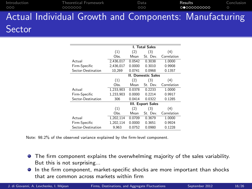| Introduction<br>000 | 0000000                                                | <b>Theoretical Framework</b> | Data<br>000 | Results<br>00000000000 | Conclusion |
|---------------------|--------------------------------------------------------|------------------------------|-------------|------------------------|------------|
|                     | Actual Individual Growth and Components: Manufacturing |                              |             |                        |            |
| Sector              |                                                        |                              |             |                        |            |

|                    | I. Total Sales            |        |                          |             |
|--------------------|---------------------------|--------|--------------------------|-------------|
|                    | (1)                       | (2)    | (3)                      | (4)         |
|                    | Obs.                      | Mean   | St. Dev.                 | Correlation |
| Actual             | 2.436.017                 | 0.0542 | 0.3038                   | 1.0000      |
| Firm-Specific      | 2.436.017                 | 0.0000 | 0.3010                   | 0.9908      |
| Sector-Destination | 10.269                    | 0.0741 | 0.0968                   | 0.1357      |
|                    | <b>II. Domestic Sales</b> |        |                          |             |
|                    | (1)                       | (2)    | (3)                      | (4)         |
|                    | Obs.                      | Mean   | St. Dev.                 | Correlation |
| Actual             | 1.233.903                 | 0.0378 | 0.2233                   | 1.0000      |
| Firm-Specific      | 1,233,903                 | 0.0000 | 0.2214                   | 0.9917      |
| Sector-Destination | 306                       | 0.0414 | 0.0322                   | 0.1285      |
|                    |                           |        | <b>III. Export Sales</b> |             |
|                    | (1)                       | (2)    | (3)                      | (4)         |
|                    | Obs.                      | Mean   | St. Dev.                 | Correlation |
| Actual             | 1,202,114                 | 0.0709 | 0.3679                   | 1.0000      |
| Firm-Specific      | 1.202.114                 | 0.0000 | 0.3651                   | 0.9924      |
| Sector-Destination | 9.963                     | 0.0752 | 0.0980                   | 0.1228      |

Note: 98.2% of the observed variance explained by the firm-level component.

- **•** The firm component explains the overwhelming majority of the sales variability. But this is not surprising...
- In the firm component, market-specific shocks are more important than shocks that are common across markets within firm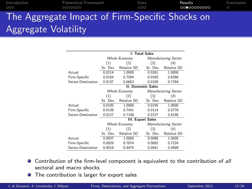| Introduction<br>000  | Theoretical Framework<br>0000000                | Data<br>000 | Results<br>00000000000 | Conclusion<br>$\circ$ |
|----------------------|-------------------------------------------------|-------------|------------------------|-----------------------|
|                      | The Aggregate Impact of Firm-Specific Shocks on |             |                        |                       |
| Aggregate Volatility |                                                 |             |                        |                       |

|                    | I. Total Sales            |                          |  |                             |                             |  |
|--------------------|---------------------------|--------------------------|--|-----------------------------|-----------------------------|--|
|                    | <b>Whole Economy</b>      |                          |  |                             | <b>Manufacturing Sector</b> |  |
|                    | (1)                       | (2)                      |  | (3)                         | (4)                         |  |
|                    | St. Dev.                  | Relative SD              |  | St. Dev.                    | Relative SD                 |  |
| Actual             | 0.0214                    | 1.0000                   |  | 0.0261                      | 1.0000                      |  |
| Firm-Specific      | 0.0164                    | 0.7584                   |  | 0.0165                      | 0.6266                      |  |
| Sector-Destination | 0.0137                    | 0.6663                   |  | 0.0189                      | 0.7394                      |  |
|                    | <b>II. Domestic Sales</b> |                          |  |                             |                             |  |
|                    | Whole Economy             |                          |  | <b>Manufacturing Sector</b> |                             |  |
|                    | (1)                       | (2)                      |  | (3)                         | (4)                         |  |
|                    | St. Dev.                  | Relative SD              |  | St. Dev.                    | Relative SD                 |  |
| Actual             | 0.0185                    | 1.0000                   |  | 0.0195                      | 1.0000                      |  |
| Firm-Specific      | 0.0139                    | 0.7441                   |  | 0.0114                      | 0.5778                      |  |
| Sector-Destination | 0.0127                    | 0.7148                   |  | 0.0157                      | 0.8186                      |  |
|                    |                           | <b>III. Export Sales</b> |  |                             |                             |  |
|                    |                           | Whole Economy            |  |                             | Manufacturing Sector        |  |
|                    | (1)                       | (2)                      |  | (3)                         | (4)                         |  |
|                    | St. Dev.                  | Relative SD              |  | St. Dev.                    | Relative SD                 |  |
| Actual             | 0.0037                    | 1.0000                   |  | 0.0086                      | 1.0000                      |  |
| Firm-Specific      | 0.0029                    | 0.7874                   |  | 0.0062                      | 0.7224                      |  |
| Sector-Destination | 0.0016                    | 0.4475                   |  | 0.0041                      | 0.4909                      |  |

- **•** Contribution of the firm-level component is equivalent to the contribution of all sectoral and macro shocks
- **•** The contribution is larger for export sales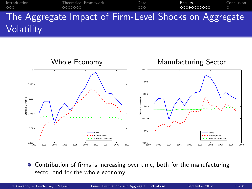[Introduction](#page-1-0) [Theoretical Framework](#page-4-0) [Data](#page-11-0) [Results](#page-14-0) [Conclusion](#page-25-0) The Aggregate Impact of Firm-Level Shocks on Aggregate **Volatility** 



Contribution of firms is increasing over time, both for the manufacturing  $\bullet$ sector and for the whole economy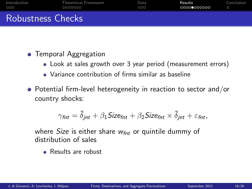| Introduction             | <b>Theoretical Framework</b> | Data | Results     | Conclusion |
|--------------------------|------------------------------|------|-------------|------------|
| റററ                      | 0000000                      | 000  | 00000000000 |            |
| <b>Robustness Checks</b> |                              |      |             |            |

## **•** Temporal Aggregation

- Look at sales growth over 3 year period (measurement errors)
- Variance contribution of firms similar as baseline
- Potential firm-level heterogeneity in reaction to sector and/or country shocks:

$$
\gamma_{\text{fnt}} = \tilde{\delta}_{\text{jnt}} + \beta_1 \text{Size}_{\text{fnt}} + \beta_2 \text{Size}_{\text{fnt}} \times \tilde{\delta}_{\text{jnt}} + \varepsilon_{\text{fnt}},
$$

where Size is either share  $w_{\text{fnt}}$  or quintile dummy of distribution of sales

**B** Results are robust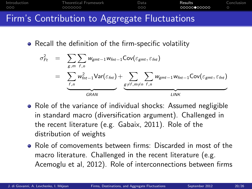| Introduction | Theoretical Framework                         | Data | Results     | Conclusion |
|--------------|-----------------------------------------------|------|-------------|------------|
| 000          | 0000000                                       | 000  | 00000000000 |            |
|              | Firm's Contribution to Aggregate Fluctuations |      |             |            |

• Recall the definition of the firm-specific volatility

$$
\sigma_{Ft}^{2} = \sum_{g,m} \sum_{f,n} w_{gmt-1} w_{fnt-1} \text{Cov}(\varepsilon_{gmt}, \varepsilon_{fnt})
$$
\n
$$
= \sum_{f,n} w_{fnt-1}^{2} \text{Var}(\varepsilon_{fnt}) + \sum_{g \neq f,m \neq n} \sum_{f,n} w_{gmt-1} w_{fnt-1} \text{Cov}(\varepsilon_{gmt}, \varepsilon_{fnt})
$$

- Role of the variance of individual shocks: Assumed negligible in standard macro (diversification argument). Challenged in the recent literature (e.g. Gabaix, 2011). Role of the distribution of weights
- Role of comovements between firms: Discarded in most of the macro literature. Challenged in the recent literature (e.g. Acemoglu et al, 2012). Role of interconnections between firms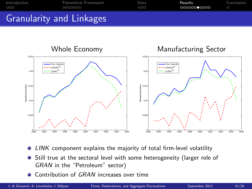



- LINK component explains the majority of total firm-level volatility  $\bullet$
- **•** Still true at the sectoral level with some heterogeneity (larger role of GRAN in the "Petroleum" sector)
- Contribution of GRAN increases over time  $\bullet$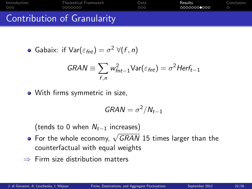| Introduction | Theoretical Framework       | Data | Results     | Conclusion |
|--------------|-----------------------------|------|-------------|------------|
| റററ          | 0000000                     | 000  | 00000000000 |            |
|              | Contribution of Granularity |      |             |            |

• Gabaix: if 
$$
Var(\varepsilon_{fnt}) = \sigma^2 \ \forall (f, n)
$$

$$
GRAN \equiv \sum_{f,n} w_{fnt-1}^2 \text{Var}(\varepsilon_{fnt}) = \sigma^2 Herf_{t-1}
$$

With firms symmetric in size,

$$
GRAN = \sigma^2/N_{t-1}
$$

(tends to 0 when  $N_{t-1}$  increases)

- For the whole economy,  $\sqrt{GRAN}$  15 times larger than the counterfactual with equal weights
- $\Rightarrow$  Firm size distribution matters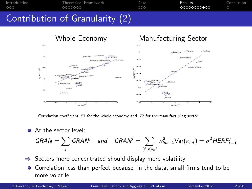



Correlation coefficient .57 for the whole economy and .72 for the manufacturing sector.

At the sector level:

$$
GRAN = \sum_{j} GRAN^{j} \quad \text{and} \quad GRAN^{j} = \sum_{(f,n) \in j} w_{fnt-1}^{2} \text{Var}(\varepsilon_{fnt}) = \sigma^{2} HERF_{t-1}^{j}
$$

- $\Rightarrow$  Sectors more concentrated should display more volatility
- Correlation less than perfect because, in the data, small firms tend to be more volatile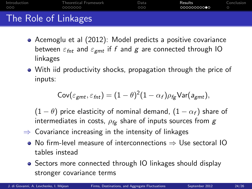| Introduction         | <b>Theoretical Framework</b> | Data | Results    | Conclusion |
|----------------------|------------------------------|------|------------|------------|
| 000                  | 0000000                      | 000  | 0000000000 |            |
| The Role of Linkages |                              |      |            |            |

- Acemoglu et al (2012): Model predicts a positive covariance between  $\varepsilon_{fnt}$  and  $\varepsilon_{gmt}$  if f and g are connected through IO linkages
- With iid productivity shocks, propagation through the price of inputs:

$$
\mathrm{Cov}(\varepsilon_{gmt},\varepsilon_{fnt})=(1-\theta)^2(1-\alpha_f)\rho_{fg}\mathrm{Var}(a_{gmt}),
$$

 $(1 - \theta)$  price elasticity of nominal demand,  $(1 - \alpha_f)$  share of intermediates in costs,  $\rho_{\text{fg}}$  share of inputs sources from g

- $\Rightarrow$  Covariance increasing in the intensity of linkages
	- No firm-level measure of interconnections ⇒ Use sectoral IO tables instead
	- Sectors more connected through IO linkages should display stronger covariance terms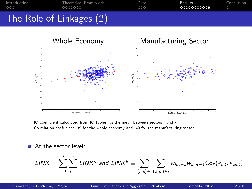



IO coefficient calculated from IO tables, as the mean between sectors  $i$  and  $j$ Correlation coefficient .39 for the whole economy and .49 for the manufacturing sector.

At the sector level:

$$
\textit{LINK} = \sum_{i=1}^{J}\sum_{j=1}^{J}\textit{LINK}^{ij} \text{ and } \textit{LINK}^{ij} \equiv \sum_{(f,n)\in i}\sum_{(g,m)\in j} w_{\textit{fnt}-1}w_{\textit{gmt}-1}\text{Cov}(\varepsilon_{\textit{fnt}},\varepsilon_{\textit{gmt}})
$$